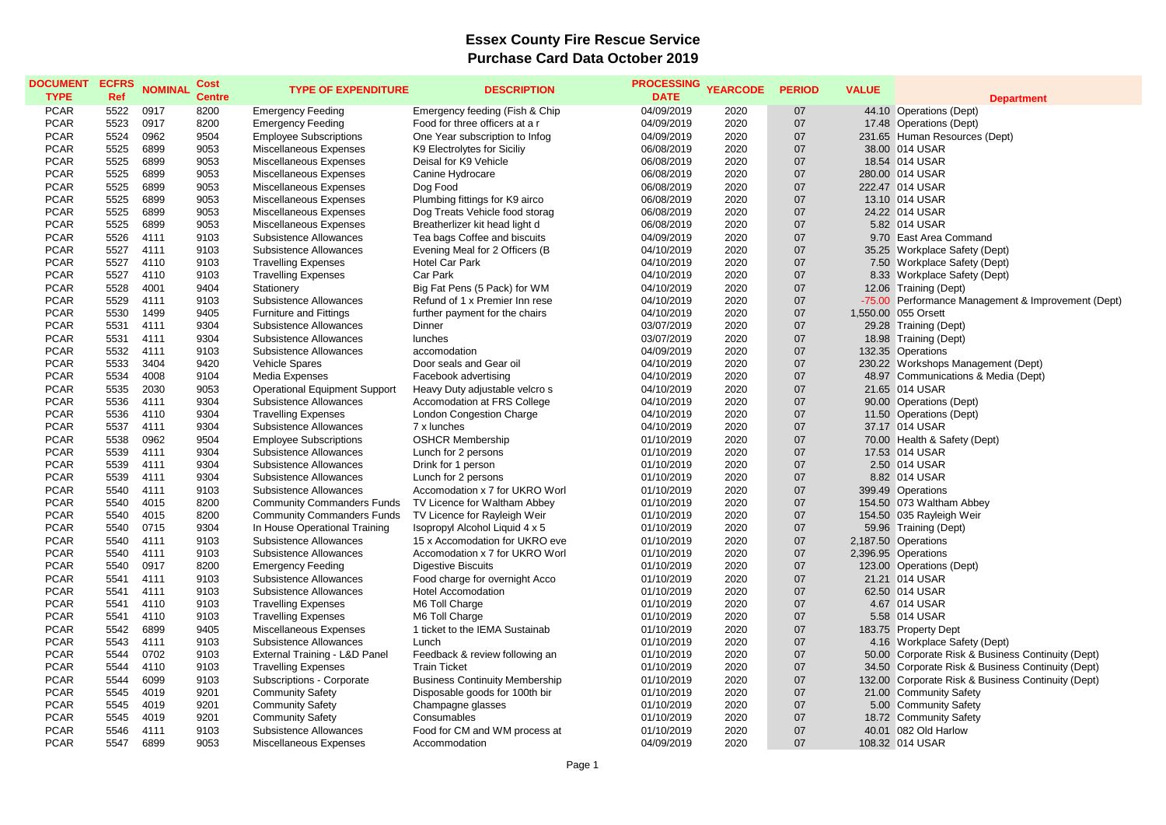## **Essex County Fire Rescue Service Purchase Card Data October 2019**

| <b>DOCUMENT</b><br><b>TYPE</b> | <b>ECFRS</b><br><b>Ref</b> | <b>NOMINAL</b> | <b>Cost</b><br><b>Centre</b> | <b>TYPE OF EXPENDITURE</b>           | <b>DESCRIPTION</b>                    | <b>PROCESSING</b><br><b>DATE</b> | <b>YEARCODE</b> | <b>PERIOD</b> | <b>VALUE</b> | <b>Department</b>                                  |
|--------------------------------|----------------------------|----------------|------------------------------|--------------------------------------|---------------------------------------|----------------------------------|-----------------|---------------|--------------|----------------------------------------------------|
| <b>PCAR</b>                    | 5522                       | 0917           | 8200                         | <b>Emergency Feeding</b>             | Emergency feeding (Fish & Chip        | 04/09/2019                       | 2020            | 07            |              | 44.10 Operations (Dept)                            |
| <b>PCAR</b>                    | 5523                       | 0917           | 8200                         | <b>Emergency Feeding</b>             | Food for three officers at a r        | 04/09/2019                       | 2020            | 07            |              | 17.48 Operations (Dept)                            |
| <b>PCAR</b>                    | 5524                       | 0962           | 9504                         | <b>Employee Subscriptions</b>        | One Year subscription to Infog        | 04/09/2019                       | 2020            | 07            |              | 231.65 Human Resources (Dept)                      |
| <b>PCAR</b>                    | 5525                       | 6899           | 9053                         | Miscellaneous Expenses               | K9 Electrolytes for Siciliy           | 06/08/2019                       | 2020            | 07            |              | 38.00 014 USAR                                     |
| <b>PCAR</b>                    | 5525                       | 6899           | 9053                         | Miscellaneous Expenses               | Deisal for K9 Vehicle                 | 06/08/2019                       | 2020            | 07            |              | 18.54 014 USAR                                     |
| <b>PCAR</b>                    | 5525                       | 6899           | 9053                         | Miscellaneous Expenses               | Canine Hydrocare                      | 06/08/2019                       | 2020            | 07            |              | 280.00 014 USAR                                    |
| <b>PCAR</b>                    | 5525                       | 6899           | 9053                         | Miscellaneous Expenses               | Dog Food                              | 06/08/2019                       | 2020            | 07            |              | 222.47 014 USAR                                    |
| <b>PCAR</b>                    | 5525                       | 6899           | 9053                         | Miscellaneous Expenses               | Plumbing fittings for K9 airco        | 06/08/2019                       | 2020            | 07            |              | 13.10 014 USAR                                     |
| <b>PCAR</b>                    | 5525                       | 6899           | 9053                         | Miscellaneous Expenses               | Dog Treats Vehicle food storag        | 06/08/2019                       | 2020            | 07            |              | 24.22 014 USAR                                     |
| <b>PCAR</b>                    | 5525                       | 6899           | 9053                         | Miscellaneous Expenses               | Breatherlizer kit head light d        | 06/08/2019                       | 2020            | 07            |              | 5.82 014 USAR                                      |
| <b>PCAR</b>                    | 5526                       | 4111           | 9103                         | Subsistence Allowances               | Tea bags Coffee and biscuits          | 04/09/2019                       | 2020            | 07            |              | 9.70 East Area Command                             |
| <b>PCAR</b>                    | 5527                       | 4111           | 9103                         | Subsistence Allowances               | Evening Meal for 2 Officers (B)       | 04/10/2019                       | 2020            | 07            |              | 35.25 Workplace Safety (Dept)                      |
| <b>PCAR</b>                    | 5527                       | 4110           | 9103                         | <b>Travelling Expenses</b>           | <b>Hotel Car Park</b>                 | 04/10/2019                       | 2020            | 07            |              | 7.50 Workplace Safety (Dept)                       |
| <b>PCAR</b>                    | 5527                       | 4110           | 9103                         | <b>Travelling Expenses</b>           | Car Park                              | 04/10/2019                       | 2020            | 07            |              | 8.33 Workplace Safety (Dept)                       |
| <b>PCAR</b>                    | 5528                       | 4001           | 9404                         | Stationery                           | Big Fat Pens (5 Pack) for WM          | 04/10/2019                       | 2020            | 07            |              | 12.06 Training (Dept)                              |
| <b>PCAR</b>                    | 5529                       | 4111           | 9103                         | Subsistence Allowances               | Refund of 1 x Premier Inn rese        | 04/10/2019                       | 2020            | 07            |              | -75.00 Performance Management & Improvement (Dept) |
| <b>PCAR</b>                    | 5530                       | 1499           | 9405                         | <b>Furniture and Fittings</b>        | further payment for the chairs        | 04/10/2019                       | 2020            | 07            |              | 1,550.00 055 Orsett                                |
| <b>PCAR</b>                    | 5531                       | 4111           | 9304                         | Subsistence Allowances               | Dinner                                | 03/07/2019                       | 2020            | 07            |              | 29.28 Training (Dept)                              |
| <b>PCAR</b>                    | 5531                       | 4111           | 9304                         | Subsistence Allowances               | lunches                               | 03/07/2019                       | 2020            | 07            |              | 18.98 Training (Dept)                              |
| <b>PCAR</b>                    | 5532                       | 4111           | 9103                         | Subsistence Allowances               | accomodation                          | 04/09/2019                       | 2020            | 07            |              | 132.35 Operations                                  |
| <b>PCAR</b>                    | 5533                       | 3404           | 9420                         | Vehicle Spares                       | Door seals and Gear oil               | 04/10/2019                       | 2020            | 07            |              | 230.22 Workshops Management (Dept)                 |
| <b>PCAR</b>                    | 5534                       | 4008           | 9104                         | Media Expenses                       | Facebook advertising                  | 04/10/2019                       | 2020            | 07            |              | 48.97 Communications & Media (Dept)                |
| <b>PCAR</b>                    | 5535                       | 2030           | 9053                         | <b>Operational Equipment Support</b> | Heavy Duty adjustable velcro s        | 04/10/2019                       | 2020            | 07            |              | 21.65 014 USAR                                     |
| <b>PCAR</b>                    | 5536                       | 4111           | 9304                         | Subsistence Allowances               | Accomodation at FRS College           | 04/10/2019                       | 2020            | 07            |              | 90.00 Operations (Dept)                            |
| <b>PCAR</b>                    | 5536                       | 4110           | 9304                         | <b>Travelling Expenses</b>           | <b>London Congestion Charge</b>       | 04/10/2019                       | 2020            | 07            |              | 11.50 Operations (Dept)                            |
| <b>PCAR</b>                    | 5537                       | 4111           | 9304                         | Subsistence Allowances               | 7 x lunches                           | 04/10/2019                       | 2020            | 07            |              | 37.17 014 USAR                                     |
| <b>PCAR</b>                    | 5538                       | 0962           | 9504                         | <b>Employee Subscriptions</b>        | <b>OSHCR Membership</b>               | 01/10/2019                       | 2020            | 07            |              | 70.00 Health & Safety (Dept)                       |
| <b>PCAR</b>                    | 5539                       | 4111           | 9304                         | Subsistence Allowances               | Lunch for 2 persons                   | 01/10/2019                       | 2020            | 07            |              | 17.53 014 USAR                                     |
| <b>PCAR</b>                    | 5539                       | 4111           | 9304                         | Subsistence Allowances               | Drink for 1 person                    | 01/10/2019                       | 2020            | 07            |              | 2.50 014 USAR                                      |
| <b>PCAR</b>                    | 5539                       | 4111           | 9304                         | Subsistence Allowances               | Lunch for 2 persons                   | 01/10/2019                       | 2020            | 07            |              | 8.82 014 USAR                                      |
| <b>PCAR</b>                    | 5540                       | 4111           | 9103                         | Subsistence Allowances               | Accomodation x 7 for UKRO Worl        | 01/10/2019                       | 2020            | 07            |              | 399.49 Operations                                  |
| <b>PCAR</b>                    | 5540                       | 4015           | 8200                         | <b>Community Commanders Funds</b>    | TV Licence for Waltham Abbey          | 01/10/2019                       | 2020            | 07            |              | 154.50 073 Waltham Abbey                           |
| <b>PCAR</b>                    | 5540                       | 4015           | 8200                         | <b>Community Commanders Funds</b>    | TV Licence for Rayleigh Weir          | 01/10/2019                       | 2020            | 07            |              | 154.50 035 Rayleigh Weir                           |
| <b>PCAR</b>                    | 5540                       | 0715           | 9304                         | In House Operational Training        | Isopropyl Alcohol Liquid 4 x 5        | 01/10/2019                       | 2020            | 07            |              | 59.96 Training (Dept)                              |
| <b>PCAR</b>                    | 5540                       | 4111           | 9103                         | Subsistence Allowances               | 15 x Accomodation for UKRO eve        | 01/10/2019                       | 2020            | 07            |              | 2,187.50 Operations                                |
| <b>PCAR</b>                    | 5540                       | 4111           | 9103                         | Subsistence Allowances               | Accomodation x 7 for UKRO Worl        | 01/10/2019                       | 2020            | 07            |              | 2,396.95 Operations                                |
| <b>PCAR</b>                    | 5540                       | 0917           | 8200                         | <b>Emergency Feeding</b>             | <b>Digestive Biscuits</b>             | 01/10/2019                       | 2020            | 07            |              | 123.00 Operations (Dept)                           |
| <b>PCAR</b>                    | 5541                       | 4111           | 9103                         | Subsistence Allowances               | Food charge for overnight Acco        | 01/10/2019                       | 2020            | 07            |              | 21.21 014 USAR                                     |
| <b>PCAR</b>                    | 5541                       | 4111           | 9103                         | Subsistence Allowances               | <b>Hotel Accomodation</b>             | 01/10/2019                       | 2020            | 07            |              | 62.50 014 USAR                                     |
| <b>PCAR</b>                    | 5541                       | 4110           | 9103                         | <b>Travelling Expenses</b>           | M6 Toll Charge                        | 01/10/2019                       | 2020            | 07            |              | 4.67 014 USAR                                      |
| <b>PCAR</b>                    | 5541                       | 4110           | 9103                         | <b>Travelling Expenses</b>           | M6 Toll Charge                        | 01/10/2019                       | 2020            | 07            |              | 5.58 014 USAR                                      |
| <b>PCAR</b>                    | 5542                       | 6899           | 9405                         | Miscellaneous Expenses               | 1 ticket to the IEMA Sustainab        | 01/10/2019                       | 2020            | 07            |              | 183.75 Property Dept                               |
| <b>PCAR</b>                    | 5543                       | 4111           | 9103                         | Subsistence Allowances               | Lunch                                 | 01/10/2019                       | 2020            | 07            |              | 4.16 Workplace Safety (Dept)                       |
| <b>PCAR</b>                    | 5544                       | 0702           | 9103                         | External Training - L&D Panel        | Feedback & review following an        | 01/10/2019                       | 2020            | 07            |              | 50.00 Corporate Risk & Business Continuity (Dept)  |
| <b>PCAR</b>                    | 5544                       | 4110           | 9103                         | <b>Travelling Expenses</b>           | <b>Train Ticket</b>                   | 01/10/2019                       | 2020            | 07            |              | 34.50 Corporate Risk & Business Continuity (Dept)  |
| <b>PCAR</b>                    | 5544                       | 6099           | 9103                         | Subscriptions - Corporate            | <b>Business Continuity Membership</b> | 01/10/2019                       | 2020            | 07            |              | 132.00 Corporate Risk & Business Continuity (Dept) |
| <b>PCAR</b>                    | 5545                       | 4019           | 9201                         | <b>Community Safety</b>              | Disposable goods for 100th bir        | 01/10/2019                       | 2020            | 07            |              | 21.00 Community Safety                             |
| <b>PCAR</b>                    | 5545                       | 4019           | 9201                         | <b>Community Safety</b>              | Champagne glasses                     | 01/10/2019                       | 2020            | 07            |              | 5.00 Community Safety                              |
| <b>PCAR</b>                    | 5545                       | 4019           | 9201                         | <b>Community Safety</b>              | Consumables                           | 01/10/2019                       | 2020            | 07            |              | 18.72 Community Safety                             |
| <b>PCAR</b>                    | 5546                       | 4111           | 9103                         | Subsistence Allowances               | Food for CM and WM process at         | 01/10/2019                       | 2020            | 07            |              | 40.01 082 Old Harlow                               |
| <b>PCAR</b>                    | 5547                       | 6899           | 9053                         | Miscellaneous Expenses               | Accommodation                         | 04/09/2019                       | 2020            | 07            |              | 108.32 014 USAR                                    |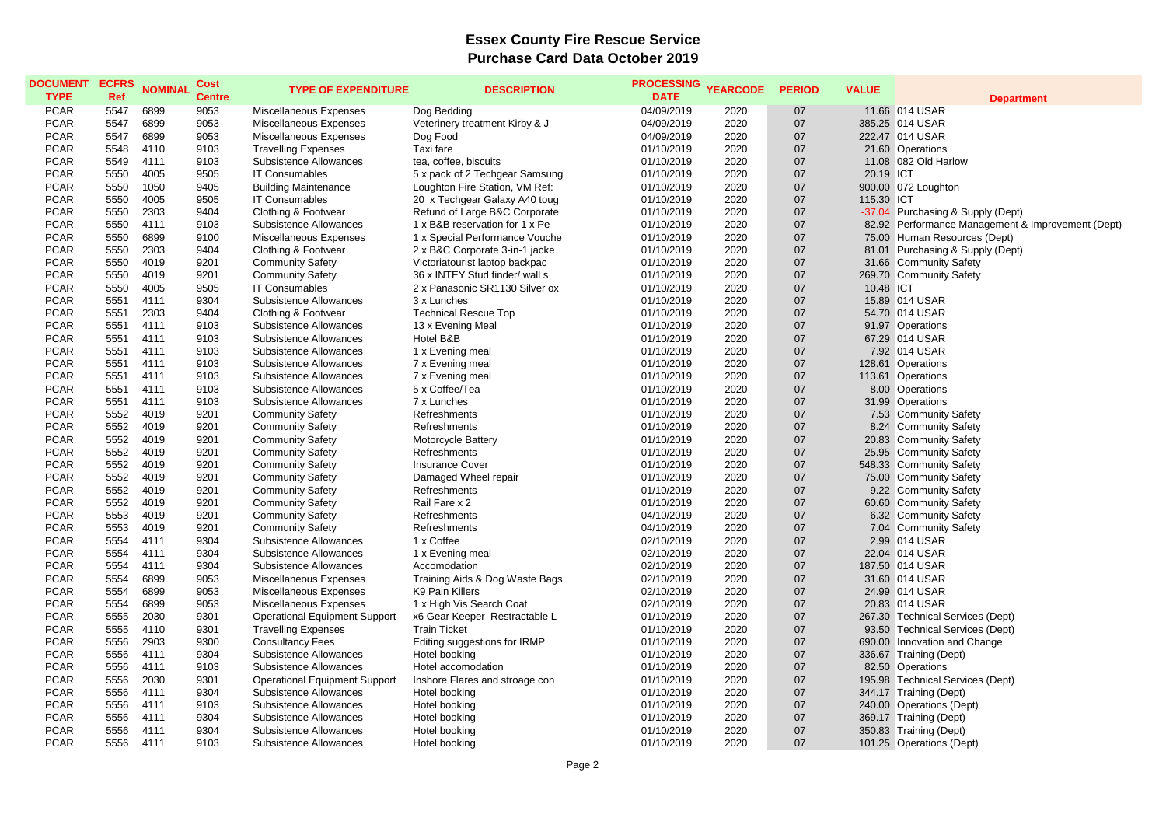## **Essex County Fire Rescue Service Purchase Card Data October 2019**

| <b>DOCUMENT</b><br><b>TYPE</b> | <b>ECFRS</b><br>Ref | <b>NOMINAL</b> | Cost<br><b>Centre</b> | <b>TYPE OF EXPENDITURE</b>           | <b>DESCRIPTION</b>             | <b>PROCESSING</b><br><b>DATE</b> | <b>YEARCODE</b> | <b>PERIOD</b> | <b>VALUE</b> | <b>Department</b>                                 |
|--------------------------------|---------------------|----------------|-----------------------|--------------------------------------|--------------------------------|----------------------------------|-----------------|---------------|--------------|---------------------------------------------------|
| <b>PCAR</b>                    | 5547                | 6899           | 9053                  | Miscellaneous Expenses               | Dog Bedding                    | 04/09/2019                       | 2020            | 07            |              | 11.66 014 USAR                                    |
| <b>PCAR</b>                    | 5547                | 6899           | 9053                  | Miscellaneous Expenses               | Veterinery treatment Kirby & J | 04/09/2019                       | 2020            | 07            |              | 385.25 014 USAR                                   |
| <b>PCAR</b>                    | 5547                | 6899           | 9053                  | Miscellaneous Expenses               | Dog Food                       | 04/09/2019                       | 2020            | 07            |              | 222.47 014 USAR                                   |
| <b>PCAR</b>                    | 5548                | 4110           | 9103                  | <b>Travelling Expenses</b>           | Taxi fare                      | 01/10/2019                       | 2020            | 07            |              | 21.60 Operations                                  |
| <b>PCAR</b>                    | 5549                | 4111           | 9103                  | Subsistence Allowances               | tea, coffee, biscuits          | 01/10/2019                       | 2020            | 07            |              | 11.08 082 Old Harlow                              |
| <b>PCAR</b>                    | 5550                | 4005           | 9505                  | <b>IT Consumables</b>                | 5 x pack of 2 Techgear Samsung | 01/10/2019                       | 2020            | 07            | 20.19 ICT    |                                                   |
| <b>PCAR</b>                    | 5550                | 1050           | 9405                  | <b>Building Maintenance</b>          | Loughton Fire Station, VM Ref: | 01/10/2019                       | 2020            | 07            |              | 900.00 072 Loughton                               |
| <b>PCAR</b>                    | 5550                | 4005           | 9505                  | <b>IT Consumables</b>                | 20 x Techgear Galaxy A40 toug  | 01/10/2019                       | 2020            | 07            | 115.30 ICT   |                                                   |
| <b>PCAR</b>                    | 5550                | 2303           | 9404                  | Clothing & Footwear                  | Refund of Large B&C Corporate  | 01/10/2019                       | 2020            | 07            |              | -37.04 Purchasing & Supply (Dept)                 |
| <b>PCAR</b>                    | 5550                | 4111           | 9103                  | Subsistence Allowances               | 1 x B&B reservation for 1 x Pe | 01/10/2019                       | 2020            | 07            |              | 82.92 Performance Management & Improvement (Dept) |
| <b>PCAR</b>                    | 5550                | 6899           | 9100                  | Miscellaneous Expenses               | 1 x Special Performance Vouche | 01/10/2019                       | 2020            | 07            |              | 75.00 Human Resources (Dept)                      |
| <b>PCAR</b>                    | 5550                | 2303           | 9404                  | Clothing & Footwear                  | 2 x B&C Corporate 3-in-1 jacke | 01/10/2019                       | 2020            | 07            |              | 81.01 Purchasing & Supply (Dept)                  |
| <b>PCAR</b>                    | 5550                | 4019           | 9201                  | <b>Community Safety</b>              | Victoriatourist laptop backpac | 01/10/2019                       | 2020            | 07            |              | 31.66 Community Safety                            |
| <b>PCAR</b>                    | 5550                | 4019           | 9201                  | <b>Community Safety</b>              | 36 x INTEY Stud finder/ wall s | 01/10/2019                       | 2020            | 07            |              | 269.70 Community Safety                           |
| <b>PCAR</b>                    | 5550                | 4005           | 9505                  | <b>IT Consumables</b>                | 2 x Panasonic SR1130 Silver ox | 01/10/2019                       | 2020            | 07            | 10.48 ICT    |                                                   |
| <b>PCAR</b>                    | 5551                | 4111           | 9304                  | Subsistence Allowances               | 3 x Lunches                    | 01/10/2019                       | 2020            | 07            |              | 15.89 014 USAR                                    |
| <b>PCAR</b>                    | 5551                | 2303           | 9404                  | Clothing & Footwear                  | <b>Technical Rescue Top</b>    | 01/10/2019                       | 2020            | 07            |              | 54.70 014 USAR                                    |
| <b>PCAR</b>                    | 5551                | 4111           | 9103                  | Subsistence Allowances               | 13 x Evening Meal              | 01/10/2019                       | 2020            | 07            |              | 91.97 Operations                                  |
| <b>PCAR</b>                    | 5551                | 4111           | 9103                  | Subsistence Allowances               | Hotel B&B                      | 01/10/2019                       | 2020            | 07            |              | 67.29 014 USAR                                    |
| <b>PCAR</b>                    | 5551                | 4111           | 9103                  | Subsistence Allowances               | 1 x Evening meal               | 01/10/2019                       | 2020            | 07            |              | 7.92 014 USAR                                     |
| <b>PCAR</b>                    | 5551                | 4111           | 9103                  | Subsistence Allowances               | 7 x Evening meal               | 01/10/2019                       | 2020            | 07            |              | 128.61 Operations                                 |
| <b>PCAR</b>                    | 5551                | 4111           | 9103                  | Subsistence Allowances               | 7 x Evening meal               | 01/10/2019                       | 2020            | 07            |              | 113.61 Operations                                 |
| <b>PCAR</b>                    | 5551                | 4111           | 9103                  | Subsistence Allowances               | 5 x Coffee/Tea                 | 01/10/2019                       | 2020            | 07            |              | 8.00 Operations                                   |
| <b>PCAR</b>                    | 5551                | 4111           | 9103                  | Subsistence Allowances               | 7 x Lunches                    | 01/10/2019                       | 2020            |               |              |                                                   |
| <b>PCAR</b>                    | 5552                | 4019           | 9201                  |                                      | Refreshments                   | 01/10/2019                       | 2020            | 07<br>07      |              | 31.99 Operations                                  |
|                                |                     |                | 9201                  | <b>Community Safety</b>              |                                |                                  |                 |               |              | 7.53 Community Safety                             |
| <b>PCAR</b>                    | 5552                | 4019           |                       | <b>Community Safety</b>              | Refreshments                   | 01/10/2019                       | 2020            | 07            |              | 8.24 Community Safety                             |
| <b>PCAR</b>                    | 5552                | 4019           | 9201                  | <b>Community Safety</b>              | Motorcycle Battery             | 01/10/2019                       | 2020            | 07            |              | 20.83 Community Safety                            |
| <b>PCAR</b>                    | 5552                | 4019           | 9201                  | <b>Community Safety</b>              | Refreshments                   | 01/10/2019                       | 2020            | 07            |              | 25.95 Community Safety                            |
| <b>PCAR</b>                    | 5552                | 4019           | 9201                  | <b>Community Safety</b>              | <b>Insurance Cover</b>         | 01/10/2019                       | 2020            | 07            |              | 548.33 Community Safety                           |
| <b>PCAR</b>                    | 5552                | 4019           | 9201                  | <b>Community Safety</b>              | Damaged Wheel repair           | 01/10/2019                       | 2020            | 07            |              | 75.00 Community Safety                            |
| <b>PCAR</b>                    | 5552                | 4019           | 9201                  | <b>Community Safety</b>              | Refreshments                   | 01/10/2019                       | 2020            | 07            |              | 9.22 Community Safety                             |
| <b>PCAR</b>                    | 5552                | 4019           | 9201                  | <b>Community Safety</b>              | Rail Fare x 2                  | 01/10/2019                       | 2020            | 07            |              | 60.60 Community Safety                            |
| <b>PCAR</b>                    | 5553                | 4019           | 9201                  | <b>Community Safety</b>              | Refreshments                   | 04/10/2019                       | 2020            | 07            |              | 6.32 Community Safety                             |
| <b>PCAR</b>                    | 5553                | 4019           | 9201                  | <b>Community Safety</b>              | Refreshments                   | 04/10/2019                       | 2020            | 07            |              | 7.04 Community Safety                             |
| <b>PCAR</b>                    | 5554                | 4111           | 9304                  | Subsistence Allowances               | 1 x Coffee                     | 02/10/2019                       | 2020            | 07            |              | 2.99 014 USAR                                     |
| <b>PCAR</b>                    | 5554                | 4111           | 9304                  | Subsistence Allowances               | 1 x Evening meal               | 02/10/2019                       | 2020            | 07            |              | 22.04 014 USAR                                    |
| <b>PCAR</b>                    | 5554                | 4111           | 9304                  | Subsistence Allowances               | Accomodation                   | 02/10/2019                       | 2020            | 07            |              | 187.50 014 USAR                                   |
| <b>PCAR</b>                    | 5554                | 6899           | 9053                  | Miscellaneous Expenses               | Training Aids & Dog Waste Bags | 02/10/2019                       | 2020            | 07            |              | 31.60 014 USAR                                    |
| <b>PCAR</b>                    | 5554                | 6899           | 9053                  | Miscellaneous Expenses               | K9 Pain Killers                | 02/10/2019                       | 2020            | 07            |              | 24.99 014 USAR                                    |
| <b>PCAR</b>                    | 5554                | 6899           | 9053                  | Miscellaneous Expenses               | 1 x High Vis Search Coat       | 02/10/2019                       | 2020            | 07            |              | 20.83 014 USAR                                    |
| <b>PCAR</b>                    | 5555                | 2030           | 9301                  | <b>Operational Equipment Support</b> | x6 Gear Keeper Restractable L  | 01/10/2019                       | 2020            | 07            |              | 267.30 Technical Services (Dept)                  |
| <b>PCAR</b>                    | 5555                | 4110           | 9301                  | <b>Travelling Expenses</b>           | <b>Train Ticket</b>            | 01/10/2019                       | 2020            | 07            |              | 93.50 Technical Services (Dept)                   |
| <b>PCAR</b>                    | 5556                | 2903           | 9300                  | <b>Consultancy Fees</b>              | Editing suggestions for IRMP   | 01/10/2019                       | 2020            | 07            |              | 690.00 Innovation and Change                      |
| <b>PCAR</b>                    | 5556                | 4111           | 9304                  | Subsistence Allowances               | Hotel booking                  | 01/10/2019                       | 2020            | 07            |              | 336.67 Training (Dept)                            |
| <b>PCAR</b>                    | 5556                | 4111           | 9103                  | Subsistence Allowances               | Hotel accomodation             | 01/10/2019                       | 2020            | 07            |              | 82.50 Operations                                  |
| <b>PCAR</b>                    | 5556                | 2030           | 9301                  | <b>Operational Equipment Support</b> | Inshore Flares and stroage con | 01/10/2019                       | 2020            | 07            |              | 195.98 Technical Services (Dept)                  |
| <b>PCAR</b>                    | 5556                | 4111           | 9304                  | Subsistence Allowances               | Hotel booking                  | 01/10/2019                       | 2020            | 07            |              | 344.17 Training (Dept)                            |
| <b>PCAR</b>                    | 5556                | 4111           | 9103                  | Subsistence Allowances               | Hotel booking                  | 01/10/2019                       | 2020            | 07            |              | 240.00 Operations (Dept)                          |
| <b>PCAR</b>                    | 5556                | 4111           | 9304                  | <b>Subsistence Allowances</b>        | Hotel booking                  | 01/10/2019                       | 2020            | 07            |              | 369.17 Training (Dept)                            |
| <b>PCAR</b>                    | 5556                | 4111           | 9304                  | <b>Subsistence Allowances</b>        | Hotel booking                  | 01/10/2019                       | 2020            | 07            |              | 350.83 Training (Dept)                            |
| <b>PCAR</b>                    | 5556                | 4111           | 9103                  | <b>Subsistence Allowances</b>        | Hotel booking                  | 01/10/2019                       | 2020            | 07            |              | 101.25 Operations (Dept)                          |